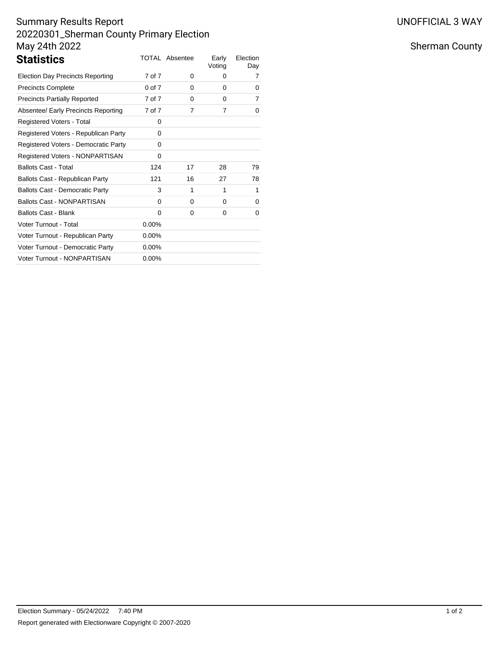# Summary Results Report 20220301\_Sherman County Primary Election May 24th 2022

| <b>Statistics</b>                       |            | TOTAL Absentee | Early<br>Voting | Election<br>Day |
|-----------------------------------------|------------|----------------|-----------------|-----------------|
| <b>Election Day Precincts Reporting</b> | 7 of 7     | $\Omega$       | 0               | 7               |
| <b>Precincts Complete</b>               | $0$ of $7$ | $\Omega$       | $\Omega$        | 0               |
| <b>Precincts Partially Reported</b>     | 7 of 7     | 0              | $\Omega$        | 7               |
| Absentee/ Early Precincts Reporting     | 7 of 7     | 7              | 7               | 0               |
| Registered Voters - Total               | 0          |                |                 |                 |
| Registered Voters - Republican Party    | 0          |                |                 |                 |
| Registered Voters - Democratic Party    | 0          |                |                 |                 |
| Registered Voters - NONPARTISAN         | 0          |                |                 |                 |
| <b>Ballots Cast - Total</b>             | 124        | 17             | 28              | 79              |
| Ballots Cast - Republican Party         | 121        | 16             | 27              | 78              |
| <b>Ballots Cast - Democratic Party</b>  | 3          | 1              | 1               | 1               |
| <b>Ballots Cast - NONPARTISAN</b>       | 0          | $\Omega$       | 0               | 0               |
| <b>Ballots Cast - Blank</b>             | 0          | 0              | 0               | 0               |
| Voter Turnout - Total                   | $0.00\%$   |                |                 |                 |
| Voter Turnout - Republican Party        | $0.00\%$   |                |                 |                 |
| Voter Turnout - Democratic Party        | $0.00\%$   |                |                 |                 |
| Voter Turnout - NONPARTISAN             | $0.00\%$   |                |                 |                 |

# Sherman County